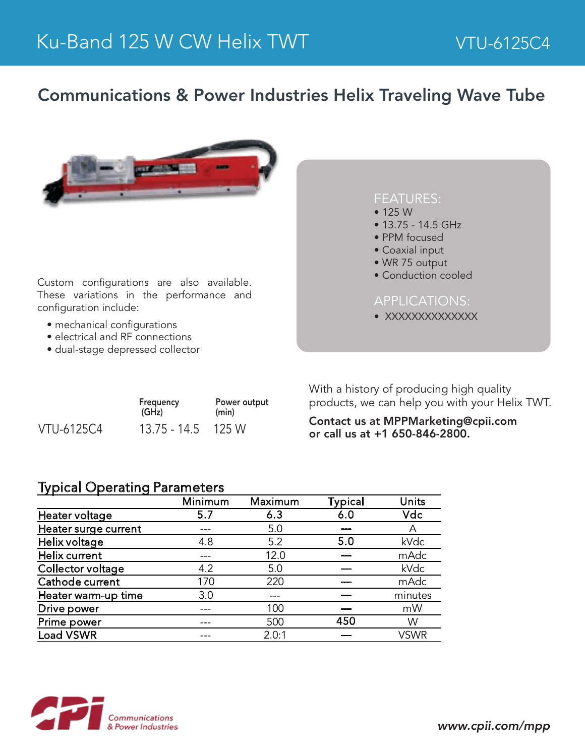## Communications & Power Industries Helix Traveling Wave Tube



Custom configurations are also available. These variations in the performance and configuration include:

- mechanical configurations
- 
- 

| <b>FEATURES:</b><br>$\bullet$ 125 W<br>$\bullet$ 13.75 - 14.5 GHz<br>• PPM focused<br>• Coaxial input<br>• WR 75 output<br>• Conduction cooled |
|------------------------------------------------------------------------------------------------------------------------------------------------|
| <b>APPLICATIONS:</b><br>XXXXXXXXXXXXXX                                                                                                         |

• electrical and RF connections

• dual-stage depressed collector

|                   | Frequency<br>(GHz)   | Power output<br>(min) |  |
|-------------------|----------------------|-----------------------|--|
| <b>VTU-6125C4</b> | $13.75 - 14.5$ 125 W |                       |  |

With a history of producing high quality products, we can help you with your Helix TWT.

Contact us at MPPMarketing@cpii.com or call us at +1 650-846-2800.

## Typical Operating Parameters

|                      | Minimum | Maximum | <b>Typical</b> | Units       |
|----------------------|---------|---------|----------------|-------------|
| Heater voltage       | 5.7     | 6.3     | 6.0            | Vdc         |
| Heater surge current |         | 5.0     |                | А           |
| Helix voltage        | 4.8     | 5.2     | 5.0            | kVdc        |
| Helix current        |         | 12.0    |                | mAdc        |
| Collector voltage    | 4.2     | 5.0     | ---            | kVdc        |
| Cathode current      | 170     | 220     |                | mAdc        |
| Heater warm-up time  | 3.0     |         |                | minutes     |
| Drive power          |         | 100     |                | mW          |
| Prime power          |         | 500     | 450            | W           |
| <b>Load VSWR</b>     |         | 2.0:1   |                | <b>VSWR</b> |